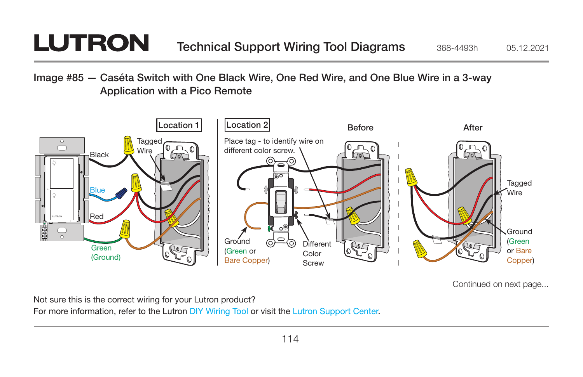## **LUTRON**

Image #85 — Caséta Switch with One Black Wire, One Red Wire, and One Blue Wire in a 3-way Application with a Pico Remote



Continued on next page...

Not sure this is the correct wiring for your Lutron product?

For more information, refer to the Lutron DIY Wiring Tool or visit the Lutron Support Center.